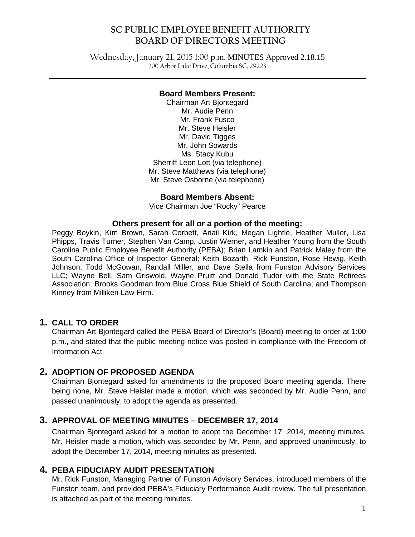#### **SC PUBLIC EMPLOYEE BENEFIT AUTHORITY BOARD OF DIRECTORS MEETING**

Wednesday, January 21, 2015 1:00 p.m. MINUTES Approved 2.18.15 200 Arbor Lake Drive, Columbia SC, 29223

**\_\_\_\_\_\_\_\_\_\_\_\_\_\_\_\_\_\_\_\_\_\_\_\_\_\_\_\_\_\_\_\_\_\_\_\_\_\_\_\_\_\_\_\_\_\_\_\_\_\_\_\_\_\_\_\_\_\_\_\_\_\_\_\_\_\_\_\_\_\_\_\_\_\_\_\_\_\_**

#### **Board Members Present:**

Chairman Art Bjontegard Mr. Audie Penn Mr. Frank Fusco Mr. Steve Heisler Mr. David Tigges Mr. John Sowards Ms. Stacy Kubu Sherriff Leon Lott (via telephone) Mr. Steve Matthews (via telephone) Mr. Steve Osborne (via telephone)

#### **Board Members Absent:**

Vice Chairman Joe "Rocky" Pearce

#### **Others present for all or a portion of the meeting:**

Peggy Boykin, Kim Brown, Sarah Corbett, Ariail Kirk, Megan Lightle, Heather Muller, Lisa Phipps, Travis Turner, Stephen Van Camp, Justin Werner, and Heather Young from the South Carolina Public Employee Benefit Authority (PEBA); Brian Lamkin and Patrick Maley from the South Carolina Office of Inspector General; Keith Bozarth, Rick Funston, Rose Hewig, Keith Johnson, Todd McGowan, Randall Miller, and Dave Stella from Funston Advisory Services LLC; Wayne Bell, Sam Griswold, Wayne Pruitt and Donald Tudor with the State Retirees Association; Brooks Goodman from Blue Cross Blue Shield of South Carolina; and Thompson Kinney from Milliken Law Firm.

#### **1. CALL TO ORDER**

Chairman Art Bjontegard called the PEBA Board of Director's (Board) meeting to order at 1:00 p.m., and stated that the public meeting notice was posted in compliance with the Freedom of Information Act.

#### **2. ADOPTION OF PROPOSED AGENDA**

Chairman Bjontegard asked for amendments to the proposed Board meeting agenda. There being none, Mr. Steve Heisler made a motion, which was seconded by Mr. Audie Penn, and passed unanimously, to adopt the agenda as presented.

#### **3. APPROVAL OF MEETING MINUTES – DECEMBER 17, 2014**

Chairman Bjontegard asked for a motion to adopt the December 17, 2014, meeting minutes. Mr. Heisler made a motion, which was seconded by Mr. Penn, and approved unanimously, to adopt the December 17, 2014, meeting minutes as presented.

#### **4. PEBA FIDUCIARY AUDIT PRESENTATION**

Mr. Rick Funston, Managing Partner of Funston Advisory Services, introduced members of the Funston team, and provided PEBA's Fiduciary Performance Audit review. The full presentation is attached as part of the meeting minutes.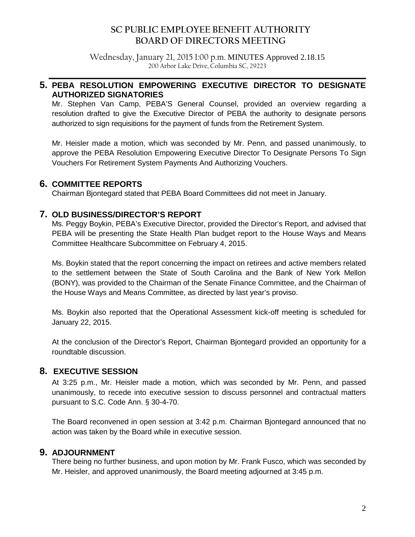#### **SC PUBLIC EMPLOYEE BENEFIT AUTHORITY BOARD OF DIRECTORS MEETING**

Wednesday, January 21, 2015 1:00 p.m. MINUTES Approved 2.18.15 200 Arbor Lake Drive, Columbia SC, 29223

**\_\_\_\_\_\_\_\_\_\_\_\_\_\_\_\_\_\_\_\_\_\_\_\_\_\_\_\_\_\_\_\_\_\_\_\_\_\_\_\_\_\_\_\_\_\_\_\_\_\_\_\_\_\_\_\_\_\_\_\_\_\_\_\_\_\_\_\_\_\_\_\_\_\_\_\_\_\_**

#### **5. PEBA RESOLUTION EMPOWERING EXECUTIVE DIRECTOR TO DESIGNATE AUTHORIZED SIGNATORIES**

Mr. Stephen Van Camp, PEBA'S General Counsel, provided an overview regarding a resolution drafted to give the Executive Director of PEBA the authority to designate persons authorized to sign requisitions for the payment of funds from the Retirement System.

Mr. Heisler made a motion, which was seconded by Mr. Penn, and passed unanimously, to approve the PEBA Resolution Empowering Executive Director To Designate Persons To Sign Vouchers For Retirement System Payments And Authorizing Vouchers.

#### **6. COMMITTEE REPORTS**

Chairman Bjontegard stated that PEBA Board Committees did not meet in January.

#### **7. OLD BUSINESS/DIRECTOR'S REPORT**

Ms. Peggy Boykin, PEBA's Executive Director, provided the Director's Report, and advised that PEBA will be presenting the State Health Plan budget report to the House Ways and Means Committee Healthcare Subcommittee on February 4, 2015.

Ms. Boykin stated that the report concerning the impact on retirees and active members related to the settlement between the State of South Carolina and the Bank of New York Mellon (BONY), was provided to the Chairman of the Senate Finance Committee, and the Chairman of the House Ways and Means Committee, as directed by last year's proviso.

Ms. Boykin also reported that the Operational Assessment kick-off meeting is scheduled for January 22, 2015.

At the conclusion of the Director's Report, Chairman Bjontegard provided an opportunity for a roundtable discussion.

#### **8. EXECUTIVE SESSION**

At 3:25 p.m., Mr. Heisler made a motion, which was seconded by Mr. Penn, and passed unanimously, to recede into executive session to discuss personnel and contractual matters pursuant to S.C. Code Ann. § 30-4-70.

The Board reconvened in open session at 3:42 p.m. Chairman Bjontegard announced that no action was taken by the Board while in executive session.

#### **9. ADJOURNMENT**

There being no further business, and upon motion by Mr. Frank Fusco, which was seconded by Mr. Heisler, and approved unanimously, the Board meeting adjourned at 3:45 p.m.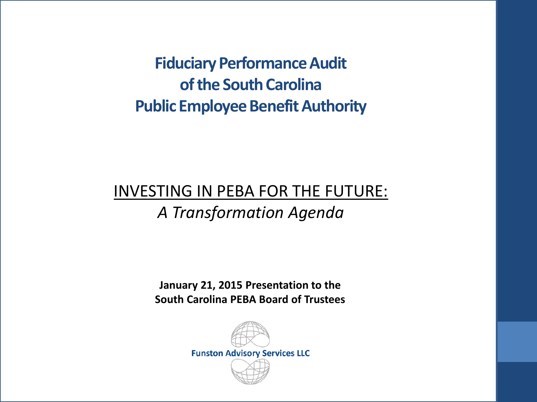**Fiduciary Performance Audit of the South Carolina Public Employee Benefit Authority**

# INVESTING IN PEBA FOR THE FUTURE: *A Transformation Agenda*

**January 21, 2015 Presentation to the South Carolina PEBA Board of Trustees**

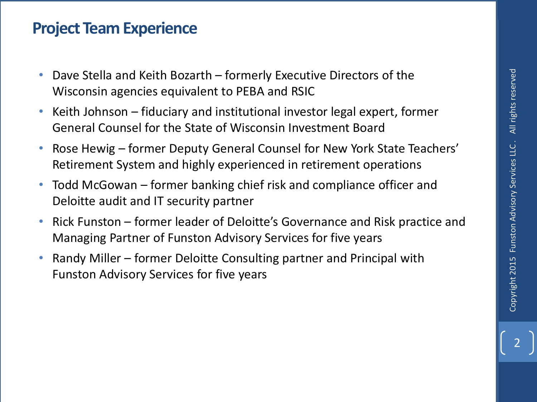### **Project Team Experience**

- Dave Stella and Keith Bozarth formerly Executive Directors of the Wisconsin agencies equivalent to PEBA and RSIC
- Keith Johnson fiduciary and institutional investor legal expert, former General Counsel for the State of Wisconsin Investment Board
- Rose Hewig former Deputy General Counsel for New York State Teachers' Retirement System and highly experienced in retirement operations
- Todd McGowan former banking chief risk and compliance officer and Deloitte audit and IT security partner
- Rick Funston former leader of Deloitte's Governance and Risk practice and Managing Partner of Funston Advisory Services for five years
- Randy Miller former Deloitte Consulting partner and Principal with Funston Advisory Services for five years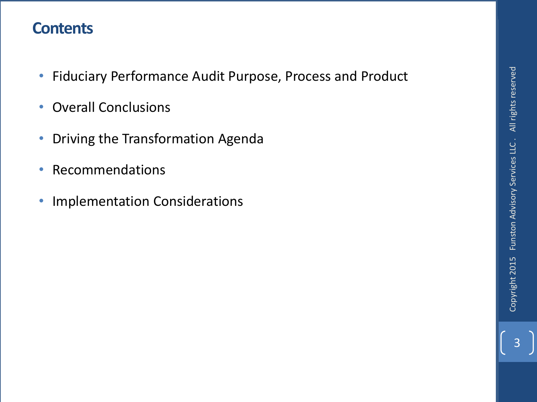## **Contents**

- Fiduciary Performance Audit Purpose, Process and Product
- Overall Conclusions
- Driving the Transformation Agenda
- Recommendations
- Implementation Considerations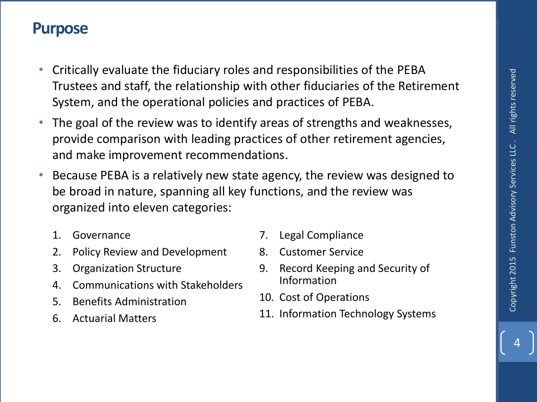#### **Purpose**

- Critically evaluate the fiduciary roles and responsibilities of the PEBA Trustees and staff, the relationship with other fiduciaries of the Retirement System, and the operational policies and practices of PEBA.
- The goal of the review was to identify areas of strengths and weaknesses, provide comparison with leading practices of other retirement agencies, and make improvement recommendations.
- Because PEBA is a relatively new state agency, the review was designed to be broad in nature, spanning all key functions, and the review was organized into eleven categories:
	- 1. Governance
	- 2. Policy Review and Development
	- 3. Organization Structure
	- 4. Communications with Stakeholders
	- 5. Benefits Administration
	- 6. Actuarial Matters
- 7. Legal Compliance
- 8. Customer Service
- 9. Record Keeping and Security of Information
- 10. Cost of Operations
- 11. Information Technology Systems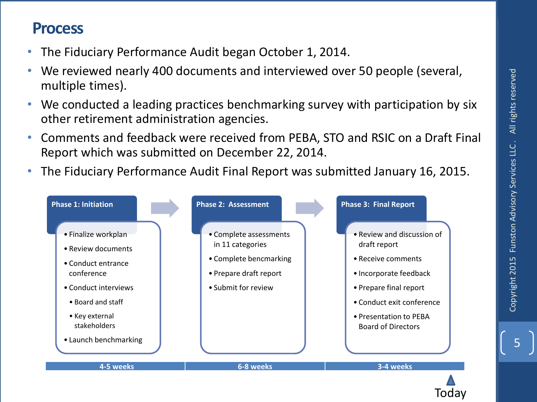5

#### **Process**

- The Fiduciary Performance Audit began October 1, 2014.
- We reviewed nearly 400 documents and interviewed over 50 people (several, multiple times).
- We conducted a leading practices benchmarking survey with participation by six other retirement administration agencies.
- Comments and feedback were received from PEBA, STO and RSIC on a Draft Final Report which was submitted on December 22, 2014.
- The Fiduciary Performance Audit Final Report was submitted January 16, 2015.



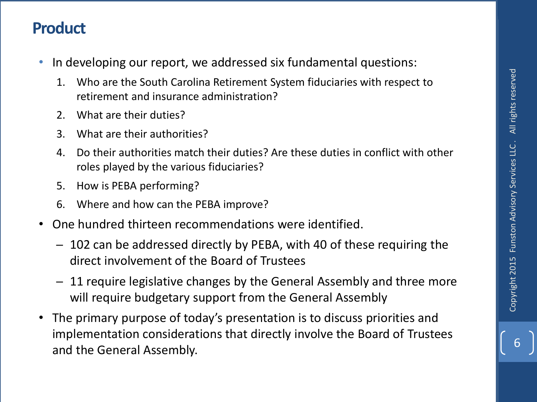## **Product**

- In developing our report, we addressed six fundamental questions:
	- 1. Who are the South Carolina Retirement System fiduciaries with respect to retirement and insurance administration?
	- 2. What are their duties?
	- 3. What are their authorities?
	- 4. Do their authorities match their duties? Are these duties in conflict with other roles played by the various fiduciaries?
	- 5. How is PEBA performing?
	- 6. Where and how can the PEBA improve?
- One hundred thirteen recommendations were identified.
	- ─ 102 can be addressed directly by PEBA, with 40 of these requiring the direct involvement of the Board of Trustees
	- ─ 11 require legislative changes by the General Assembly and three more will require budgetary support from the General Assembly
- The primary purpose of today's presentation is to discuss priorities and implementation considerations that directly involve the Board of Trustees 1. Who are the South Carolina Retirement System fiduciaries with respect to<br>
retirement and insurance administration?<br>
2. What are their duties?<br>
3. What are their authorities ?<br>
4. Do their authorities match their duties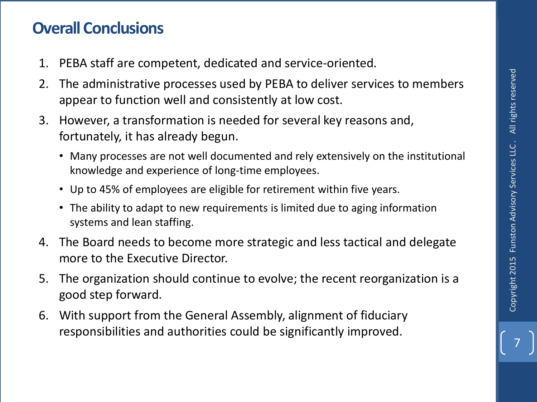# **Overall Conclusions**

- 1. PEBA staff are competent, dedicated and service-oriented.
- 2. The administrative processes used by PEBA to deliver services to members appear to function well and consistently at low cost.
- 3. However, a transformation is needed for several key reasons and, fortunately, it has already begun.
	- Many processes are not well documented and rely extensively on the institutional knowledge and experience of long-time employees.
	- Up to 45% of employees are eligible for retirement within five years.
	- The ability to adapt to new requirements is limited due to aging information systems and lean staffing.
- 4. The Board needs to become more strategic and less tactical and delegate more to the Executive Director.
- 5. The organization should continue to evolve; the recent reorganization is a good step forward.
- 6. With support from the General Assembly, alignment of fiduciary responsibilities and authorities could be significantly improved.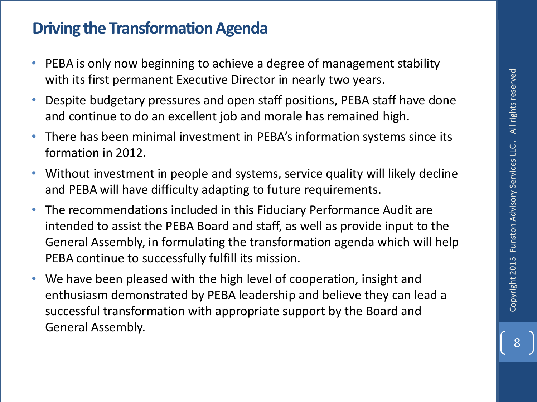# **Driving the Transformation Agenda**

- PEBA is only now beginning to achieve a degree of management stability with its first permanent Executive Director in nearly two years.
- Despite budgetary pressures and open staff positions, PEBA staff have done and continue to do an excellent job and morale has remained high.
- There has been minimal investment in PEBA's information systems since its formation in 2012.
- Without investment in people and systems, service quality will likely decline and PEBA will have difficulty adapting to future requirements.
- The recommendations included in this Fiduciary Performance Audit are intended to assist the PEBA Board and staff, as well as provide input to the General Assembly, in formulating the transformation agenda which will help PEBA continue to successfully fulfill its mission.
- We have been pleased with the high level of cooperation, insight and enthusiasm demonstrated by PEBA leadership and believe they can lead a successful transformation with appropriate support by the Board and General Assembly.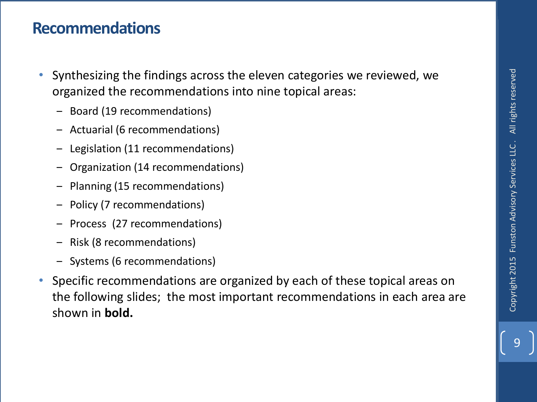## **Recommendations**

- Synthesizing the findings across the eleven categories we reviewed, we organized the recommendations into nine topical areas:
	- Board (19 recommendations)
	- Actuarial (6 recommendations)
	- ‒ Legislation (11 recommendations)
	- ‒ Organization (14 recommendations)
	- ‒ Planning (15 recommendations)
	- ‒ Policy (7 recommendations)
	- ‒ Process (27 recommendations)
	- ‒ Risk (8 recommendations)
	- ‒ Systems (6 recommendations)
- Specific recommendations are organized by each of these topical areas on the following slides; the most important recommendations in each area are shown in **bold.**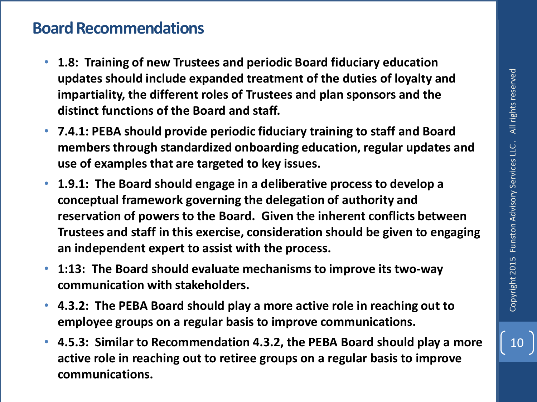## **Board Recommendations**

- **1.8: Training of new Trustees and periodic Board fiduciary education updates should include expanded treatment of the duties of loyalty and impartiality, the different roles of Trustees and plan sponsors and the distinct functions of the Board and staff.**
- **7.4.1: PEBA should provide periodic fiduciary training to staff and Board members through standardized onboarding education, regular updates and use of examples that are targeted to key issues.**
- **1.9.1: The Board should engage in a deliberative process to develop a conceptual framework governing the delegation of authority and reservation of powers to the Board. Given the inherent conflicts between Trustees and staff in this exercise, consideration should be given to engaging an independent expert to assist with the process.**
- **1:13: The Board should evaluate mechanisms to improve its two-way communication with stakeholders.**
- **4.3.2: The PEBA Board should play a more active role in reaching out to employee groups on a regular basis to improve communications.**
- **4.5.3: Similar to Recommendation 4.3.2, the PEBA Board should play a more active role in reaching out to retiree groups on a regular basis to improve communications.**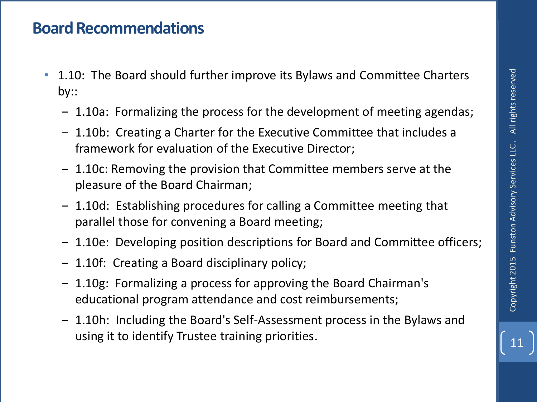## **Board Recommendations**

- 1.10: The Board should further improve its Bylaws and Committee Charters by::
	- ‒ 1.10a: Formalizing the process for the development of meeting agendas;
	- ‒ 1.10b: Creating a Charter for the Executive Committee that includes a framework for evaluation of the Executive Director;
	- ‒ 1.10c: Removing the provision that Committee members serve at the pleasure of the Board Chairman;
	- ‒ 1.10d: Establishing procedures for calling a Committee meeting that parallel those for convening a Board meeting;
	- ‒ 1.10e: Developing position descriptions for Board and Committee officers;
	- ‒ 1.10f: Creating a Board disciplinary policy;
	- ‒ 1.10g: Formalizing a process for approving the Board Chairman's educational program attendance and cost reimbursements;
	- ‒ 1.10h: Including the Board's Self-Assessment process in the Bylaws and using it to identify Trustee training priorities.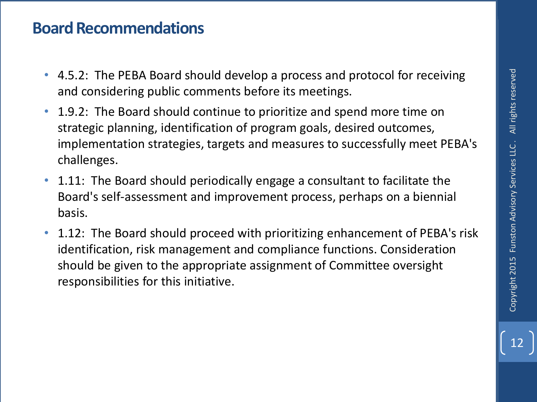## **Board Recommendations**

- 4.5.2: The PEBA Board should develop a process and protocol for receiving and considering public comments before its meetings.
- 1.9.2: The Board should continue to prioritize and spend more time on strategic planning, identification of program goals, desired outcomes, implementation strategies, targets and measures to successfully meet PEBA's challenges.
- 1.11: The Board should periodically engage a consultant to facilitate the Board's self-assessment and improvement process, perhaps on a biennial basis.
- 1.12: The Board should proceed with prioritizing enhancement of PEBA's risk identification, risk management and compliance functions. Consideration should be given to the appropriate assignment of Committee oversight responsibilities for this initiative.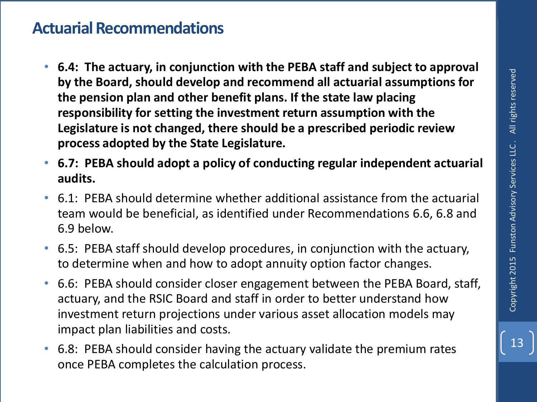### **Actuarial Recommendations**

- **6.4: The actuary, in conjunction with the PEBA staff and subject to approval by the Board, should develop and recommend all actuarial assumptions for the pension plan and other benefit plans. If the state law placing responsibility for setting the investment return assumption with the Legislature is not changed, there should be a prescribed periodic review process adopted by the State Legislature.**
- **6.7: PEBA should adopt a policy of conducting regular independent actuarial audits.**
- 6.1: PEBA should determine whether additional assistance from the actuarial team would be beneficial, as identified under Recommendations 6.6, 6.8 and 6.9 below.
- 6.5: PEBA staff should develop procedures, in conjunction with the actuary, to determine when and how to adopt annuity option factor changes.
- 6.6: PEBA should consider closer engagement between the PEBA Board, staff, actuary, and the RSIC Board and staff in order to better understand how investment return projections under various asset allocation models may impact plan liabilities and costs.
- 6.8: PEBA should consider having the actuary validate the premium rates once PEBA completes the calculation process.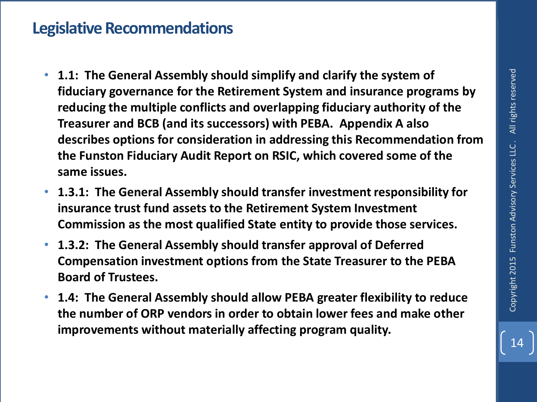#### **Legislative Recommendations**

- **1.1: The General Assembly should simplify and clarify the system of fiduciary governance for the Retirement System and insurance programs by reducing the multiple conflicts and overlapping fiduciary authority of the Treasurer and BCB (and its successors) with PEBA. Appendix A also describes options for consideration in addressing this Recommendation from the Funston Fiduciary Audit Report on RSIC, which covered some of the same issues.**
- **1.3.1: The General Assembly should transfer investment responsibility for insurance trust fund assets to the Retirement System Investment Commission as the most qualified State entity to provide those services.**
- **1.3.2: The General Assembly should transfer approval of Deferred Compensation investment options from the State Treasurer to the PEBA Board of Trustees.**
- **1.4: The General Assembly should allow PEBA greater flexibility to reduce the number of ORP vendors in order to obtain lower fees and make other improvements without materially affecting program quality.**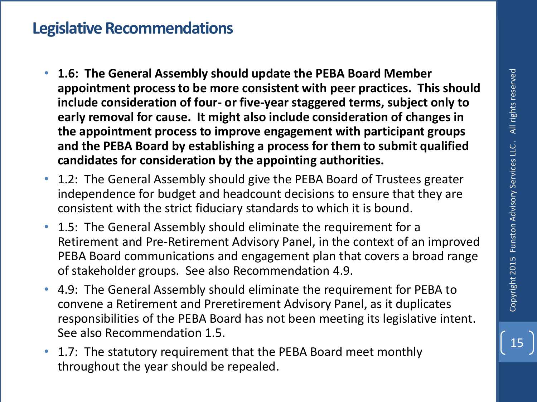#### **Legislative Recommendations**

- **1.6: The General Assembly should update the PEBA Board Member appointment process to be more consistent with peer practices. This should include consideration of four- or five-year staggered terms, subject only to early removal for cause. It might also include consideration of changes in the appointment process to improve engagement with participant groups and the PEBA Board by establishing a process for them to submit qualified candidates for consideration by the appointing authorities.**
- 1.2: The General Assembly should give the PEBA Board of Trustees greater independence for budget and headcount decisions to ensure that they are consistent with the strict fiduciary standards to which it is bound.
- 1.5: The General Assembly should eliminate the requirement for a Retirement and Pre-Retirement Advisory Panel, in the context of an improved PEBA Board communications and engagement plan that covers a broad range of stakeholder groups. See also Recommendation 4.9.
- 4.9: The General Assembly should eliminate the requirement for PEBA to convene a Retirement and Preretirement Advisory Panel, as it duplicates responsibilities of the PEBA Board has not been meeting its legislative intent. See also Recommendation 1.5.
- 1.7: The statutory requirement that the PEBA Board meet monthly throughout the year should be repealed.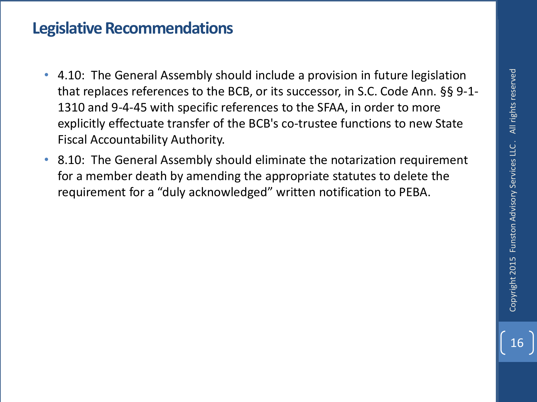## **Legislative Recommendations**

- 4.10: The General Assembly should include a provision in future legislation that replaces references to the BCB, or its successor, in S.C. Code Ann. §§ 9-1- 1310 and 9-4-45 with specific references to the SFAA, in order to more explicitly effectuate transfer of the BCB's co-trustee functions to new State Fiscal Accountability Authority.
- 8.10: The General Assembly should eliminate the notarization requirement for a member death by amending the appropriate statutes to delete the requirement for a "duly acknowledged" written notification to PEBA.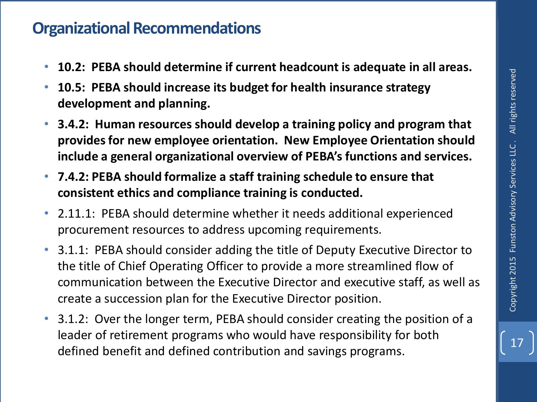## **Organizational Recommendations**

- **10.2: PEBA should determine if current headcount is adequate in all areas.**
- **10.5: PEBA should increase its budget for health insurance strategy development and planning.**
- **3.4.2: Human resources should develop a training policy and program that provides for new employee orientation. New Employee Orientation should include a general organizational overview of PEBA's functions and services.**
- **7.4.2: PEBA should formalize a staff training schedule to ensure that consistent ethics and compliance training is conducted.**
- 2.11.1: PEBA should determine whether it needs additional experienced procurement resources to address upcoming requirements.
- 3.1.1: PEBA should consider adding the title of Deputy Executive Director to the title of Chief Operating Officer to provide a more streamlined flow of communication between the Executive Director and executive staff, as well as create a succession plan for the Executive Director position.
- 3.1.2: Over the longer term, PEBA should consider creating the position of a leader of retirement programs who would have responsibility for both defined benefit and defined contribution and savings programs.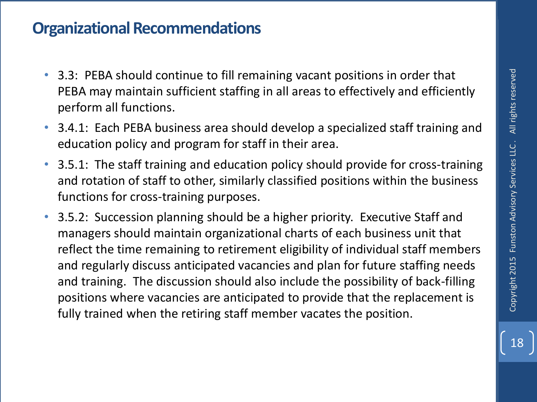## **Organizational Recommendations**

- 3.3: PEBA should continue to fill remaining vacant positions in order that PEBA may maintain sufficient staffing in all areas to effectively and efficiently perform all functions.
- 3.4.1: Each PEBA business area should develop a specialized staff training and education policy and program for staff in their area.
- 3.5.1: The staff training and education policy should provide for cross-training and rotation of staff to other, similarly classified positions within the business functions for cross-training purposes.
- 3.5.2: Succession planning should be a higher priority. Executive Staff and managers should maintain organizational charts of each business unit that reflect the time remaining to retirement eligibility of individual staff members and regularly discuss anticipated vacancies and plan for future staffing needs and training. The discussion should also include the possibility of back-filling positions where vacancies are anticipated to provide that the replacement is fully trained when the retiring staff member vacates the position.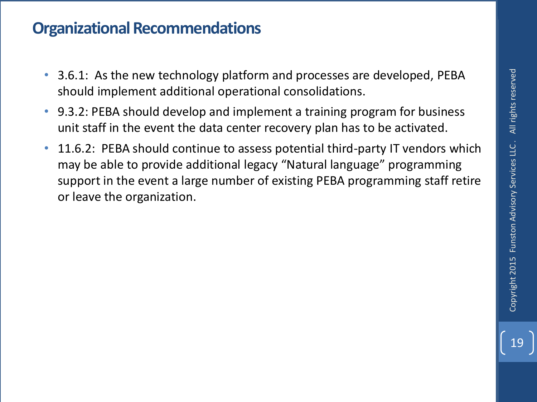## **Organizational Recommendations**

- 3.6.1: As the new technology platform and processes are developed, PEBA should implement additional operational consolidations.
- 9.3.2: PEBA should develop and implement a training program for business unit staff in the event the data center recovery plan has to be activated.
- 11.6.2: PEBA should continue to assess potential third-party IT vendors which may be able to provide additional legacy "Natural language" programming support in the event a large number of existing PEBA programming staff retire or leave the organization.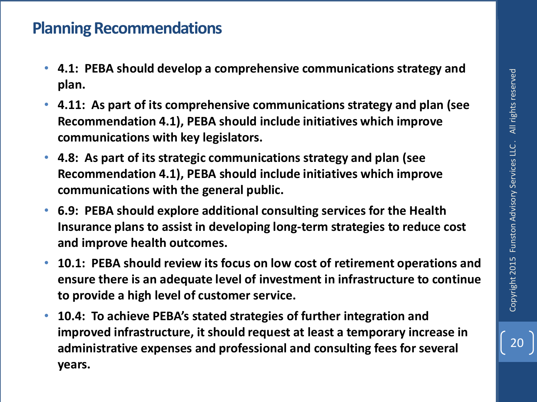## **Planning Recommendations**

- **4.1: PEBA should develop a comprehensive communications strategy and plan.**
- **4.11: As part of its comprehensive communications strategy and plan (see Recommendation 4.1), PEBA should include initiatives which improve communications with key legislators.**
- **4.8: As part of its strategic communications strategy and plan (see Recommendation 4.1), PEBA should include initiatives which improve communications with the general public.**
- **6.9: PEBA should explore additional consulting services for the Health Insurance plans to assist in developing long-term strategies to reduce cost and improve health outcomes.**
- **10.1: PEBA should review its focus on low cost of retirement operations and ensure there is an adequate level of investment in infrastructure to continue to provide a high level of customer service.**
- **10.4: To achieve PEBA's stated strategies of further integration and improved infrastructure, it should request at least a temporary increase in administrative expenses and professional and consulting fees for several years.**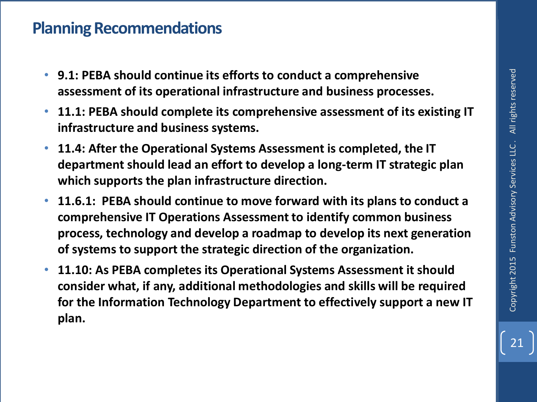#### **Planning Recommendations**

- **9.1: PEBA should continue its efforts to conduct a comprehensive assessment of its operational infrastructure and business processes.**
- **11.1: PEBA should complete its comprehensive assessment of its existing IT infrastructure and business systems.**
- **11.4: After the Operational Systems Assessment is completed, the IT department should lead an effort to develop a long-term IT strategic plan which supports the plan infrastructure direction.**
- **11.6.1: PEBA should continue to move forward with its plans to conduct a comprehensive IT Operations Assessment to identify common business process, technology and develop a roadmap to develop its next generation of systems to support the strategic direction of the organization.**
- **11.10: As PEBA completes its Operational Systems Assessment it should consider what, if any, additional methodologies and skills will be required for the Information Technology Department to effectively support a new IT plan.**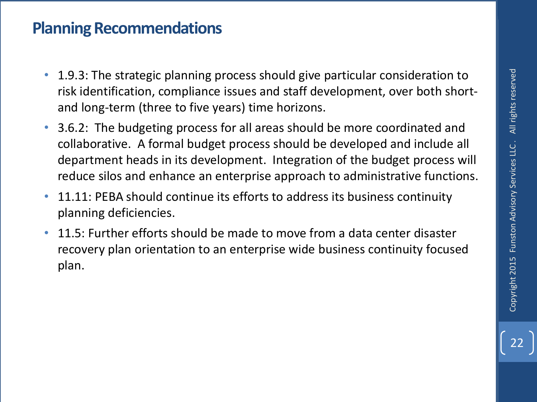## **Planning Recommendations**

- 1.9.3: The strategic planning process should give particular consideration to risk identification, compliance issues and staff development, over both shortand long-term (three to five years) time horizons.
- 3.6.2: The budgeting process for all areas should be more coordinated and collaborative. A formal budget process should be developed and include all department heads in its development. Integration of the budget process will reduce silos and enhance an enterprise approach to administrative functions.
- 11.11: PEBA should continue its efforts to address its business continuity planning deficiencies.
- 11.5: Further efforts should be made to move from a data center disaster recovery plan orientation to an enterprise wide business continuity focused plan.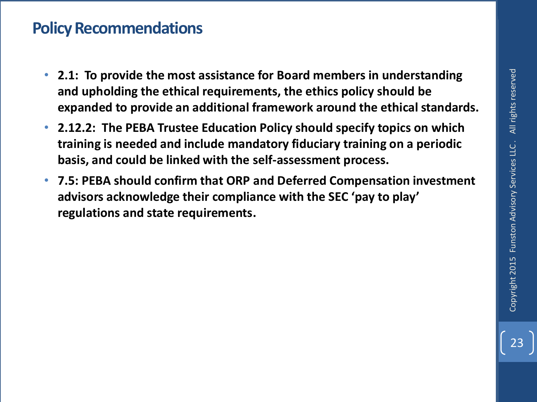## **Policy Recommendations**

- **2.1: To provide the most assistance for Board members in understanding and upholding the ethical requirements, the ethics policy should be expanded to provide an additional framework around the ethical standards.**
- **2.12.2: The PEBA Trustee Education Policy should specify topics on which training is needed and include mandatory fiduciary training on a periodic basis, and could be linked with the self-assessment process.**
- **7.5: PEBA should confirm that ORP and Deferred Compensation investment advisors acknowledge their compliance with the SEC 'pay to play' regulations and state requirements.**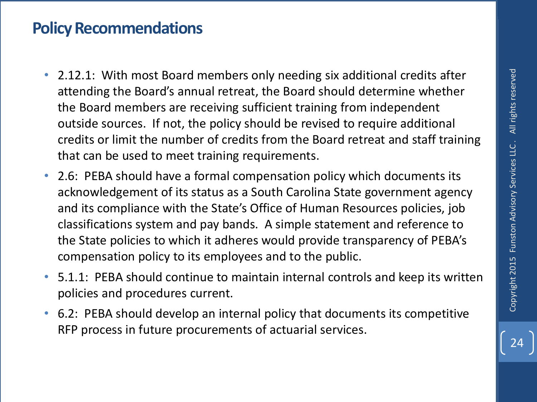## **Policy Recommendations**

- 2.12.1: With most Board members only needing six additional credits after attending the Board's annual retreat, the Board should determine whether the Board members are receiving sufficient training from independent outside sources. If not, the policy should be revised to require additional credits or limit the number of credits from the Board retreat and staff training that can be used to meet training requirements.
- 2.6: PEBA should have a formal compensation policy which documents its acknowledgement of its status as a South Carolina State government agency and its compliance with the State's Office of Human Resources policies, job classifications system and pay bands. A simple statement and reference to the State policies to which it adheres would provide transparency of PEBA's compensation policy to its employees and to the public.
- 5.1.1: PEBA should continue to maintain internal controls and keep its written policies and procedures current.
- 6.2: PEBA should develop an internal policy that documents its competitive RFP process in future procurements of actuarial services.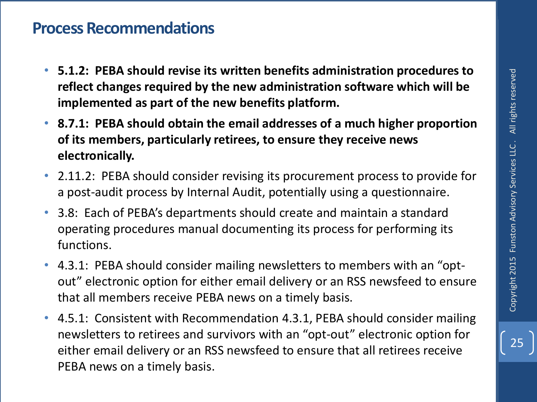- **5.1.2: PEBA should revise its written benefits administration procedures to reflect changes required by the new administration software which will be implemented as part of the new benefits platform.**
- **8.7.1: PEBA should obtain the email addresses of a much higher proportion of its members, particularly retirees, to ensure they receive news electronically.**
- 2.11.2: PEBA should consider revising its procurement process to provide for a post-audit process by Internal Audit, potentially using a questionnaire.
- 3.8: Each of PEBA's departments should create and maintain a standard operating procedures manual documenting its process for performing its functions.
- 4.3.1: PEBA should consider mailing newsletters to members with an "optout" electronic option for either email delivery or an RSS newsfeed to ensure that all members receive PEBA news on a timely basis.
- 4.5.1: Consistent with Recommendation 4.3.1, PEBA should consider mailing newsletters to retirees and survivors with an "opt-out" electronic option for either email delivery or an RSS newsfeed to ensure that all retirees receive PEBA news on a timely basis.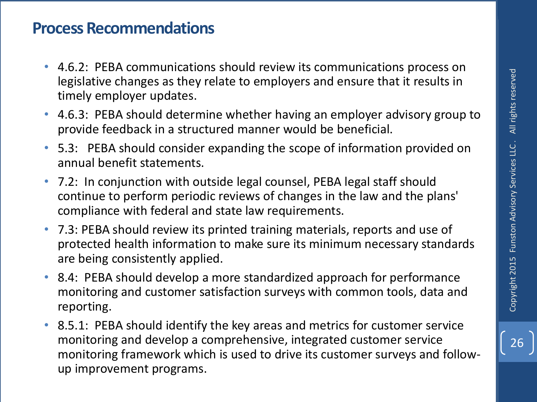26

- 4.6.2: PEBA communications should review its communications process on legislative changes as they relate to employers and ensure that it results in timely employer updates.
- 4.6.3: PEBA should determine whether having an employer advisory group to provide feedback in a structured manner would be beneficial.
- 5.3: PEBA should consider expanding the scope of information provided on annual benefit statements.
- 7.2: In conjunction with outside legal counsel, PEBA legal staff should continue to perform periodic reviews of changes in the law and the plans' compliance with federal and state law requirements.
- 7.3: PEBA should review its printed training materials, reports and use of protected health information to make sure its minimum necessary standards are being consistently applied.
- 8.4: PEBA should develop a more standardized approach for performance monitoring and customer satisfaction surveys with common tools, data and reporting.
- 8.5.1: PEBA should identify the key areas and metrics for customer service monitoring and develop a comprehensive, integrated customer service monitoring framework which is used to drive its customer surveys and followup improvement programs.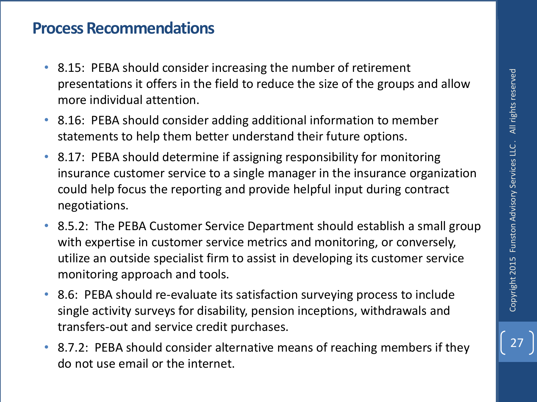- 8.15: PEBA should consider increasing the number of retirement presentations it offers in the field to reduce the size of the groups and allow more individual attention.
- 8.16: PEBA should consider adding additional information to member statements to help them better understand their future options.
- 8.17: PEBA should determine if assigning responsibility for monitoring insurance customer service to a single manager in the insurance organization could help focus the reporting and provide helpful input during contract negotiations.
- 8.5.2: The PEBA Customer Service Department should establish a small group with expertise in customer service metrics and monitoring, or conversely, utilize an outside specialist firm to assist in developing its customer service monitoring approach and tools.
- 8.6: PEBA should re-evaluate its satisfaction surveying process to include single activity surveys for disability, pension inceptions, withdrawals and transfers-out and service credit purchases.
- 8.7.2: PEBA should consider alternative means of reaching members if they do not use email or the internet.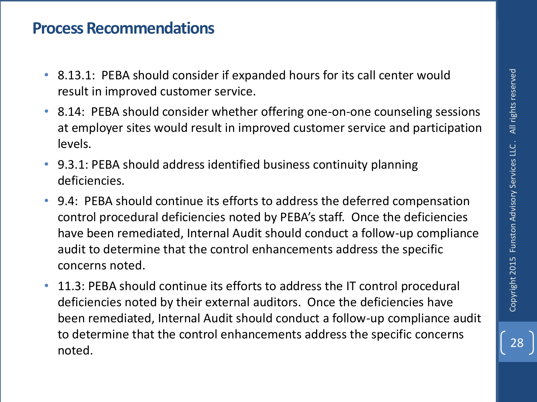- 8.13.1: PEBA should consider if expanded hours for its call center would result in improved customer service.
- 8.14: PEBA should consider whether offering one-on-one counseling sessions at employer sites would result in improved customer service and participation levels.
- 9.3.1: PEBA should address identified business continuity planning deficiencies.
- 9.4: PEBA should continue its efforts to address the deferred compensation control procedural deficiencies noted by PEBA's staff. Once the deficiencies have been remediated, Internal Audit should conduct a follow-up compliance audit to determine that the control enhancements address the specific concerns noted.
- 11.3: PEBA should continue its efforts to address the IT control procedural deficiencies noted by their external auditors. Once the deficiencies have been remediated, Internal Audit should conduct a follow-up compliance audit to determine that the control enhancements address the specific concerns noted.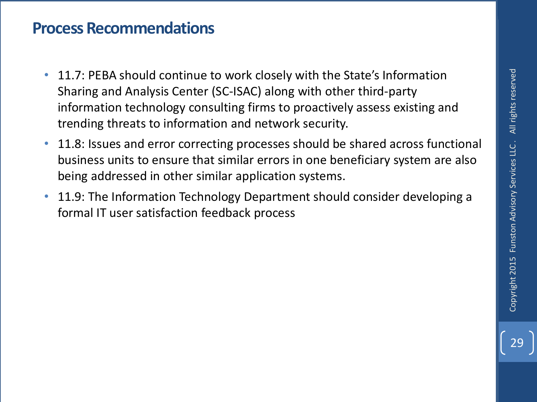- 11.7: PEBA should continue to work closely with the State's Information Sharing and Analysis Center (SC-ISAC) along with other third-party information technology consulting firms to proactively assess existing and trending threats to information and network security.
- 11.8: Issues and error correcting processes should be shared across functional business units to ensure that similar errors in one beneficiary system are also being addressed in other similar application systems.
- 11.9: The Information Technology Department should consider developing a formal IT user satisfaction feedback process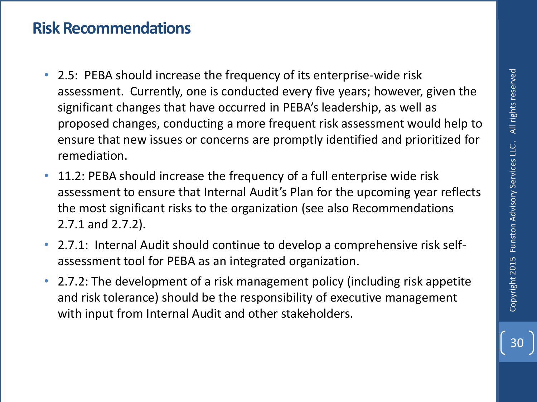### **Risk Recommendations**

- 2.5: PEBA should increase the frequency of its enterprise-wide risk assessment. Currently, one is conducted every five years; however, given the significant changes that have occurred in PEBA's leadership, as well as proposed changes, conducting a more frequent risk assessment would help to ensure that new issues or concerns are promptly identified and prioritized for remediation.
- 11.2: PEBA should increase the frequency of a full enterprise wide risk assessment to ensure that Internal Audit's Plan for the upcoming year reflects the most significant risks to the organization (see also Recommendations 2.7.1 and 2.7.2).
- 2.7.1: Internal Audit should continue to develop a comprehensive risk selfassessment tool for PEBA as an integrated organization.
- 2.7.2: The development of a risk management policy (including risk appetite and risk tolerance) should be the responsibility of executive management with input from Internal Audit and other stakeholders.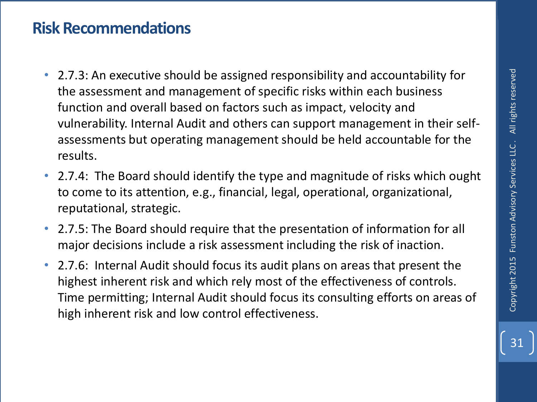### **Risk Recommendations**

- 2.7.3: An executive should be assigned responsibility and accountability for the assessment and management of specific risks within each business function and overall based on factors such as impact, velocity and vulnerability. Internal Audit and others can support management in their selfassessments but operating management should be held accountable for the results.
- 2.7.4: The Board should identify the type and magnitude of risks which ought to come to its attention, e.g., financial, legal, operational, organizational, reputational, strategic.
- 2.7.5: The Board should require that the presentation of information for all major decisions include a risk assessment including the risk of inaction.
- 2.7.6: Internal Audit should focus its audit plans on areas that present the highest inherent risk and which rely most of the effectiveness of controls. Time permitting; Internal Audit should focus its consulting efforts on areas of high inherent risk and low control effectiveness.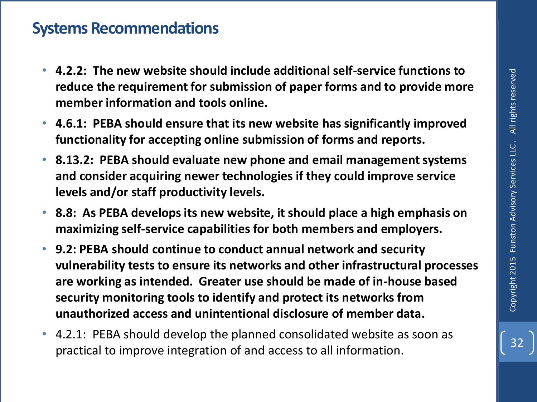### **Systems Recommendations**

- **4.2.2: The new website should include additional self-service functions to reduce the requirement for submission of paper forms and to provide more member information and tools online.**
- **4.6.1: PEBA should ensure that its new website has significantly improved functionality for accepting online submission of forms and reports.**
- **8.13.2: PEBA should evaluate new phone and email management systems and consider acquiring newer technologies if they could improve service levels and/or staff productivity levels.**
- **8.8: As PEBA develops its new website, it should place a high emphasis on maximizing self-service capabilities for both members and employers.**
- **9.2: PEBA should continue to conduct annual network and security vulnerability tests to ensure its networks and other infrastructural processes are working as intended. Greater use should be made of in-house based security monitoring tools to identify and protect its networks from unauthorized access and unintentional disclosure of member data.** 4.2.2: The new website should include additional sent-service functions to<br>
reduce the requirement for submission of paper forms and to provide more<br>
4.6.1: PEBA should ensure that its new website has significantly improve
- 4.2.1: PEBA should develop the planned consolidated website as soon as